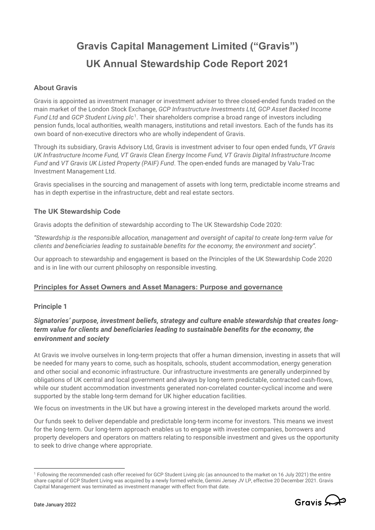# **Gravis Capital Management Limited ("Gravis") UK Annual Stewardship Code Report 2021**

# **About Gravis**

Gravis is appointed as investment manager or investment adviser to three closed-ended funds traded on the main market of the London Stock Exchange, *GCP Infrastructure Investments Ltd, GCP Asset Backed Income Fund Ltd* and *GCP Student Living plc*[1.](#page-0-0) Their shareholders comprise a broad range of investors including pension funds, local authorities, wealth managers, institutions and retail investors. Each of the funds has its own board of non-executive directors who are wholly independent of Gravis.

Through its subsidiary, Gravis Advisory Ltd, Gravis is investment adviser to four open ended funds, *VT Gravis UK Infrastructure Income Fund, VT Gravis Clean Energy Income Fund, VT Gravis Digital Infrastructure Income Fund* and *VT Gravis UK Listed Property (PAIF) Fund*. The open-ended funds are managed by Valu-Trac Investment Management Ltd.

Gravis specialises in the sourcing and management of assets with long term, predictable income streams and has in depth expertise in the infrastructure, debt and real estate sectors.

## **The UK Stewardship Code**

Gravis adopts the definition of stewardship according to The UK Stewardship Code 2020:

*"Stewardship is the responsible allocation, management and oversight of capital to create long-term value for clients and beneficiaries leading to sustainable benefits for the economy, the environment and society".*

Our approach to stewardship and engagement is based on the Principles of the UK Stewardship Code 2020 and is in line with our current philosophy on responsible investing.

## **Principles for Asset Owners and Asset Managers: Purpose and governance**

## **Principle 1**

# *Signatories' purpose, investment beliefs, strategy and culture enable stewardship that creates longterm value for clients and beneficiaries leading to sustainable benefits for the economy, the environment and society*

At Gravis we involve ourselves in long-term projects that offer a human dimension, investing in assets that will be needed for many years to come, such as hospitals, schools, student accommodation, energy generation and other social and economic infrastructure. Our infrastructure investments are generally underpinned by obligations of UK central and local government and always by long-term predictable, contracted cash-flows, while our student accommodation investments generated non-correlated counter-cyclical income and were supported by the stable long-term demand for UK higher education facilities.

We focus on investments in the UK but have a growing interest in the developed markets around the world.

Our funds seek to deliver dependable and predictable long-term income for investors. This means we invest for the long-term. Our long-term approach enables us to engage with investee companies, borrowers and property developers and operators on matters relating to responsible investment and gives us the opportunity to seek to drive change where appropriate.

<span id="page-0-0"></span><sup>1</sup> Following the recommended cash offer received for GCP Student Living plc (as announced to the market on 16 July 2021) the entire share capital of GCP Student Living was acquired by a newly formed vehicle, Gemini Jersey JV LP, effective 20 December 2021. Gravis Capital Management was terminated as investment manager with effect from that date.

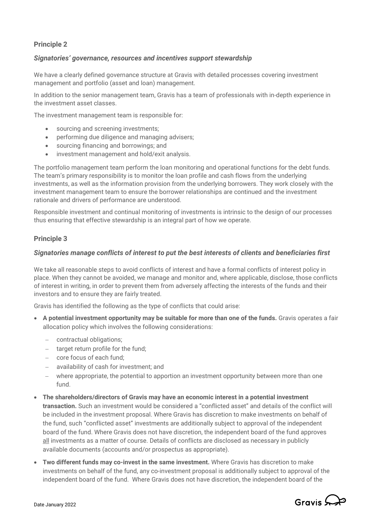# **Principle 2**

#### *Signatories' governance, resources and incentives support stewardship*

We have a clearly defined governance structure at Gravis with detailed processes covering investment management and portfolio (asset and loan) management.

In addition to the senior management team, Gravis has a team of professionals with in-depth experience in the investment asset classes.

The investment management team is responsible for:

- sourcing and screening investments;
- performing due diligence and managing advisers;
- sourcing financing and borrowings; and
- investment management and hold/exit analysis.

The portfolio management team perform the loan monitoring and operational functions for the debt funds. The team's primary responsibility is to monitor the loan profile and cash flows from the underlying investments, as well as the information provision from the underlying borrowers. They work closely with the investment management team to ensure the borrower relationships are continued and the investment rationale and drivers of performance are understood.

Responsible investment and continual monitoring of investments is intrinsic to the design of our processes thus ensuring that effective stewardship is an integral part of how we operate.

## **Principle 3**

#### *Signatories manage conflicts of interest to put the best interests of clients and beneficiaries first*

We take all reasonable steps to avoid conflicts of interest and have a formal conflicts of interest policy in place. When they cannot be avoided, we manage and monitor and, where applicable, disclose, those conflicts of interest in writing, in order to prevent them from adversely affecting the interests of the funds and their investors and to ensure they are fairly treated.

Gravis has identified the following as the type of conflicts that could arise:

- **A potential investment opportunity may be suitable for more than one of the funds.** Gravis operates a fair allocation policy which involves the following considerations:
	- − contractual obligations;
	- − target return profile for the fund;
	- − core focus of each fund;
	- − availability of cash for investment; and
	- − where appropriate, the potential to apportion an investment opportunity between more than one fund.
- **The shareholders/directors of Gravis may have an economic interest in a potential investment transaction.** Such an investment would be considered a "conflicted asset" and details of the conflict will be included in the investment proposal. Where Gravis has discretion to make investments on behalf of the fund, such "conflicted asset" investments are additionally subject to approval of the independent board of the fund. Where Gravis does not have discretion, the independent board of the fund approves all investments as a matter of course. Details of conflicts are disclosed as necessary in publicly available documents (accounts and/or prospectus as appropriate).
- **Two different funds may co-invest in the same investment.** Where Gravis has discretion to make investments on behalf of the fund, any co-investment proposal is additionally subject to approval of the independent board of the fund. Where Gravis does not have discretion, the independent board of the

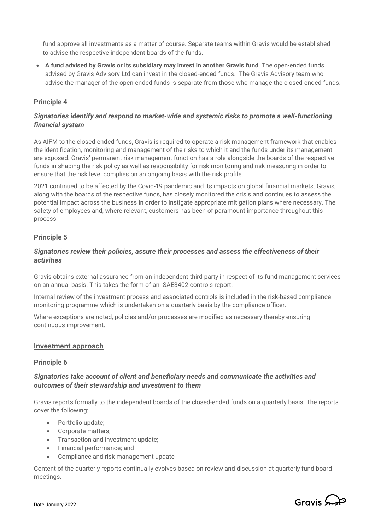fund approve all investments as a matter of course. Separate teams within Gravis would be established to advise the respective independent boards of the funds.

• **A fund advised by Gravis or its subsidiary may invest in another Gravis fund**. The open-ended funds advised by Gravis Advisory Ltd can invest in the closed-ended funds. The Gravis Advisory team who advise the manager of the open-ended funds is separate from those who manage the closed-ended funds.

## **Principle 4**

# *Signatories identify and respond to market-wide and systemic risks to promote a well-functioning financial system*

As AIFM to the closed-ended funds, Gravis is required to operate a risk management framework that enables the identification, monitoring and management of the risks to which it and the funds under its management are exposed. Gravis' permanent risk management function has a role alongside the boards of the respective funds in shaping the risk policy as well as responsibility for risk monitoring and risk measuring in order to ensure that the risk level complies on an ongoing basis with the risk profile.

2021 continued to be affected by the Covid-19 pandemic and its impacts on global financial markets. Gravis, along with the boards of the respective funds, has closely monitored the crisis and continues to assess the potential impact across the business in order to instigate appropriate mitigation plans where necessary. The safety of employees and, where relevant, customers has been of paramount importance throughout this process.

## **Principle 5**

## *Signatories review their policies, assure their processes and assess the effectiveness of their activities*

Gravis obtains external assurance from an independent third party in respect of its fund management services on an annual basis. This takes the form of an ISAE3402 controls report.

Internal review of the investment process and associated controls is included in the risk-based compliance monitoring programme which is undertaken on a quarterly basis by the compliance officer.

Where exceptions are noted, policies and/or processes are modified as necessary thereby ensuring continuous improvement.

#### **Investment approach**

## **Principle 6**

## *Signatories take account of client and beneficiary needs and communicate the activities and outcomes of their stewardship and investment to them*

Gravis reports formally to the independent boards of the closed-ended funds on a quarterly basis. The reports cover the following:

- Portfolio update;
- Corporate matters;
- Transaction and investment update;
- Financial performance; and
- Compliance and risk management update

Content of the quarterly reports continually evolves based on review and discussion at quarterly fund board meetings.

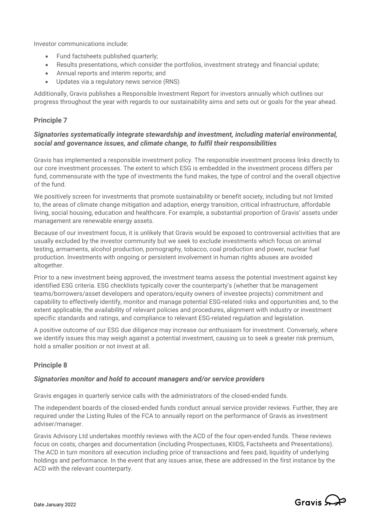Investor communications include:

- Fund factsheets published quarterly;
- Results presentations, which consider the portfolios, investment strategy and financial update;
- Annual reports and interim reports; and
- Updates via a regulatory news service (RNS)

Additionally, Gravis publishes a Responsible Investment Report for investors annually which outlines our progress throughout the year with regards to our sustainability aims and sets out or goals for the year ahead.

## **Principle 7**

## *Signatories systematically integrate stewardship and investment, including material environmental, social and governance issues, and climate change, to fulfil their responsibilities*

Gravis has implemented a responsible investment policy. The responsible investment process links directly to our core investment processes. The extent to which ESG is embedded in the investment process differs per fund, commensurate with the type of investments the fund makes, the type of control and the overall objective of the fund.

We positively screen for investments that promote sustainability or benefit society, including but not limited to, the areas of climate change mitigation and adaption, energy transition, critical infrastructure, affordable living, social housing, education and healthcare. For example, a substantial proportion of Gravis' assets under management are renewable energy assets.

Because of our investment focus, it is unlikely that Gravis would be exposed to controversial activities that are usually excluded by the investor community but we seek to exclude investments which focus on animal testing, armaments, alcohol production, pornography, tobacco, coal production and power, nuclear fuel production. Investments with ongoing or persistent involvement in human rights abuses are avoided altogether.

Prior to a new investment being approved, the investment teams assess the potential investment against key identified ESG criteria. ESG checklists typically cover the counterparty's (whether that be management teams/borrowers/asset developers and operators/equity owners of investee projects) commitment and capability to effectively identify, monitor and manage potential ESG-related risks and opportunities and, to the extent applicable, the availability of relevant policies and procedures, alignment with industry or investment specific standards and ratings, and compliance to relevant ESG-related regulation and legislation.

A positive outcome of our ESG due diligence may increase our enthusiasm for investment. Conversely, where we identify issues this may weigh against a potential investment, causing us to seek a greater risk premium, hold a smaller position or not invest at all.

# **Principle 8**

#### *Signatories monitor and hold to account managers and/or service providers*

Gravis engages in quarterly service calls with the administrators of the closed-ended funds.

The independent boards of the closed-ended funds conduct annual service provider reviews. Further, they are required under the Listing Rules of the FCA to annually report on the performance of Gravis as investment adviser/manager.

Gravis Advisory Ltd undertakes monthly reviews with the ACD of the four open-ended funds. These reviews focus on costs, charges and documentation (including Prospectuses, KIIDS, Factsheets and Presentations). The ACD in turn monitors all execution including price of transactions and fees paid, liquidity of underlying holdings and performance. In the event that any issues arise, these are addressed in the first instance by the ACD with the relevant counterparty.

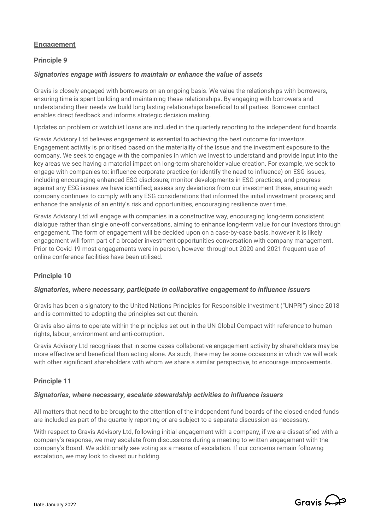# **Engagement**

# **Principle 9**

#### *Signatories engage with issuers to maintain or enhance the value of assets*

Gravis is closely engaged with borrowers on an ongoing basis. We value the relationships with borrowers, ensuring time is spent building and maintaining these relationships. By engaging with borrowers and understanding their needs we build long lasting relationships beneficial to all parties. Borrower contact enables direct feedback and informs strategic decision making.

Updates on problem or watchlist loans are included in the quarterly reporting to the independent fund boards.

Gravis Advisory Ltd believes engagement is essential to achieving the best outcome for investors. Engagement activity is prioritised based on the materiality of the issue and the investment exposure to the company. We seek to engage with the companies in which we invest to understand and provide input into the key areas we see having a material impact on long-term shareholder value creation. For example, we seek to engage with companies to: influence corporate practice (or identify the need to influence) on ESG issues, including encouraging enhanced ESG disclosure; monitor developments in ESG practices, and progress against any ESG issues we have identified; assess any deviations from our investment these, ensuring each company continues to comply with any ESG considerations that informed the initial investment process; and enhance the analysis of an entity's risk and opportunities, encouraging resilience over time.

Gravis Advisory Ltd will engage with companies in a constructive way, encouraging long-term consistent dialogue rather than single one-off conversations, aiming to enhance long-term value for our investors through engagement. The form of engagement will be decided upon on a case-by-case basis, however it is likely engagement will form part of a broader investment opportunities conversation with company management. Prior to Covid-19 most engagements were in person, however throughout 2020 and 2021 frequent use of online conference facilities have been utilised.

## **Principle 10**

#### *Signatories, where necessary, participate in collaborative engagement to influence issuers*

Gravis has been a signatory to the United Nations Principles for Responsible Investment ("UNPRI") since 2018 and is committed to adopting the principles set out therein.

Gravis also aims to operate within the principles set out in the UN Global Compact with reference to human rights, labour, environment and anti-corruption.

Gravis Advisory Ltd recognises that in some cases collaborative engagement activity by shareholders may be more effective and beneficial than acting alone. As such, there may be some occasions in which we will work with other significant shareholders with whom we share a similar perspective, to encourage improvements.

## **Principle 11**

#### *Signatories, where necessary, escalate stewardship activities to influence issuers*

All matters that need to be brought to the attention of the independent fund boards of the closed-ended funds are included as part of the quarterly reporting or are subject to a separate discussion as necessary.

With respect to Gravis Advisory Ltd, following initial engagement with a company, if we are dissatisfied with a company's response, we may escalate from discussions during a meeting to written engagement with the company's Board. We additionally see voting as a means of escalation. If our concerns remain following escalation, we may look to divest our holding.